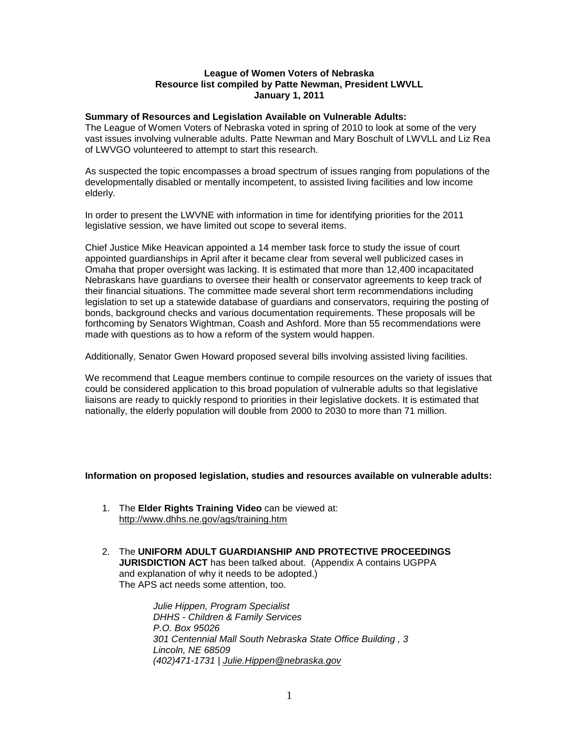### **League of Women Voters of Nebraska Resource list compiled by Patte Newman, President LWVLL January 1, 2011**

### **Summary of Resources and Legislation Available on Vulnerable Adults:**

The League of Women Voters of Nebraska voted in spring of 2010 to look at some of the very vast issues involving vulnerable adults. Patte Newman and Mary Boschult of LWVLL and Liz Rea of LWVGO volunteered to attempt to start this research.

As suspected the topic encompasses a broad spectrum of issues ranging from populations of the developmentally disabled or mentally incompetent, to assisted living facilities and low income elderly.

In order to present the LWVNE with information in time for identifying priorities for the 2011 legislative session, we have limited out scope to several items.

Chief Justice Mike Heavican appointed a 14 member task force to study the issue of court appointed guardianships in April after it became clear from several well publicized cases in Omaha that proper oversight was lacking. It is estimated that more than 12,400 incapacitated Nebraskans have guardians to oversee their health or conservator agreements to keep track of their financial situations. The committee made several short term recommendations including legislation to set up a statewide database of guardians and conservators, requiring the posting of bonds, background checks and various documentation requirements. These proposals will be forthcoming by Senators Wightman, Coash and Ashford. More than 55 recommendations were made with questions as to how a reform of the system would happen.

Additionally, Senator Gwen Howard proposed several bills involving assisted living facilities.

We recommend that League members continue to compile resources on the variety of issues that could be considered application to this broad population of vulnerable adults so that legislative liaisons are ready to quickly respond to priorities in their legislative dockets. It is estimated that nationally, the elderly population will double from 2000 to 2030 to more than 71 million.

#### **Information on proposed legislation, studies and resources available on vulnerable adults:**

- 1. The **Elder Rights Training Video** can be viewed at: <http://www.dhhs.ne.gov/ags/training.htm>
- 2. The **UNIFORM ADULT GUARDIANSHIP AND PROTECTIVE PROCEEDINGS JURISDICTION ACT** has been talked about. (Appendix A contains UGPPA and explanation of why it needs to be adopted.) The APS act needs some attention, too.

*Julie Hippen, Program Specialist DHHS - Children & Family Services P.O. Box 95026 301 Centennial Mall South Nebraska State Office Building , 3 Lincoln, NE 68509 (402)471-1731 | [Julie.Hippen@nebraska.gov](mailto:Julie.Hippen@nebraska.gov)*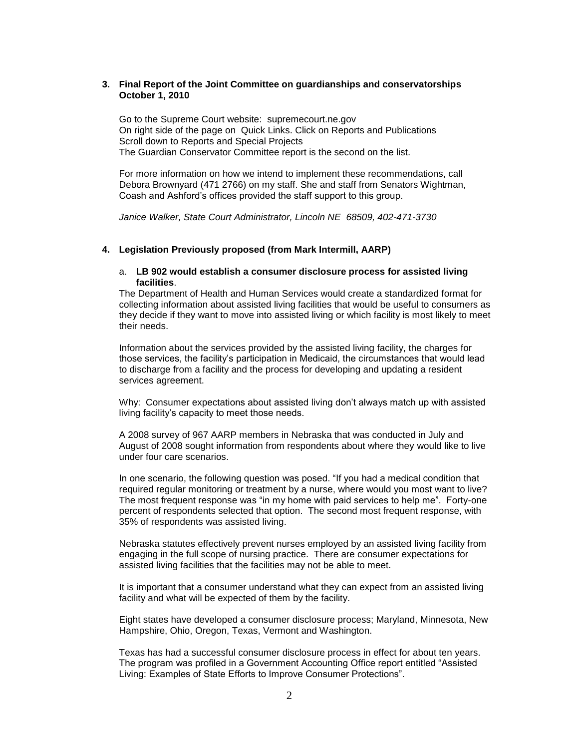## **3. Final Report of the Joint Committee on guardianships and conservatorships October 1, 2010**

Go to the Supreme Court website: supremecourt.ne.gov On right side of the page on Quick Links. Click on Reports and Publications Scroll down to Reports and Special Projects The Guardian Conservator Committee report is the second on the list.

For more information on how we intend to implement these recommendations, call Debora Brownyard (471 2766) on my staff. She and staff from Senators Wightman, Coash and Ashford's offices provided the staff support to this group.

*Janice Walker, State Court Administrator, Lincoln NE 68509, 402-471-3730*

#### **4. Legislation Previously proposed (from Mark Intermill, AARP)**

#### a. **LB 902 would establish a consumer disclosure process for assisted living facilities**.

The Department of Health and Human Services would create a standardized format for collecting information about assisted living facilities that would be useful to consumers as they decide if they want to move into assisted living or which facility is most likely to meet their needs.

Information about the services provided by the assisted living facility, the charges for those services, the facility's participation in Medicaid, the circumstances that would lead to discharge from a facility and the process for developing and updating a resident services agreement.

Why: Consumer expectations about assisted living don't always match up with assisted living facility's capacity to meet those needs.

A 2008 survey of 967 AARP members in Nebraska that was conducted in July and August of 2008 sought information from respondents about where they would like to live under four care scenarios.

In one scenario, the following question was posed. "If you had a medical condition that required regular monitoring or treatment by a nurse, where would you most want to live? The most frequent response was "in my home with paid services to help me". Forty-one percent of respondents selected that option. The second most frequent response, with 35% of respondents was assisted living.

Nebraska statutes effectively prevent nurses employed by an assisted living facility from engaging in the full scope of nursing practice. There are consumer expectations for assisted living facilities that the facilities may not be able to meet.

It is important that a consumer understand what they can expect from an assisted living facility and what will be expected of them by the facility.

Eight states have developed a consumer disclosure process; Maryland, Minnesota, New Hampshire, Ohio, Oregon, Texas, Vermont and Washington.

Texas has had a successful consumer disclosure process in effect for about ten years. The program was profiled in a Government Accounting Office report entitled "Assisted Living: Examples of State Efforts to Improve Consumer Protections".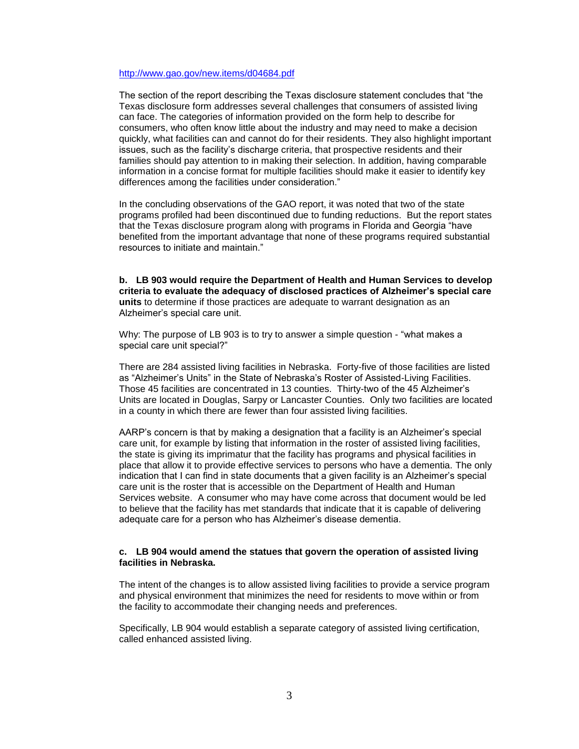### <http://www.gao.gov/new.items/d04684.pdf>

The section of the report describing the Texas disclosure statement concludes that "the Texas disclosure form addresses several challenges that consumers of assisted living can face. The categories of information provided on the form help to describe for consumers, who often know little about the industry and may need to make a decision quickly, what facilities can and cannot do for their residents. They also highlight important issues, such as the facility's discharge criteria, that prospective residents and their families should pay attention to in making their selection. In addition, having comparable information in a concise format for multiple facilities should make it easier to identify key differences among the facilities under consideration."

In the concluding observations of the GAO report, it was noted that two of the state programs profiled had been discontinued due to funding reductions. But the report states that the Texas disclosure program along with programs in Florida and Georgia "have benefited from the important advantage that none of these programs required substantial resources to initiate and maintain."

**b. LB 903 would require the Department of Health and Human Services to develop criteria to evaluate the adequacy of disclosed practices of Alzheimer's special care units** to determine if those practices are adequate to warrant designation as an Alzheimer's special care unit.

Why: The purpose of LB 903 is to try to answer a simple question - "what makes a special care unit special?"

There are 284 assisted living facilities in Nebraska. Forty-five of those facilities are listed as "Alzheimer's Units" in the State of Nebraska's Roster of Assisted-Living Facilities. Those 45 facilities are concentrated in 13 counties. Thirty-two of the 45 Alzheimer's Units are located in Douglas, Sarpy or Lancaster Counties. Only two facilities are located in a county in which there are fewer than four assisted living facilities.

AARP's concern is that by making a designation that a facility is an Alzheimer's special care unit, for example by listing that information in the roster of assisted living facilities, the state is giving its imprimatur that the facility has programs and physical facilities in place that allow it to provide effective services to persons who have a dementia. The only indication that I can find in state documents that a given facility is an Alzheimer's special care unit is the roster that is accessible on the Department of Health and Human Services website. A consumer who may have come across that document would be led to believe that the facility has met standards that indicate that it is capable of delivering adequate care for a person who has Alzheimer's disease dementia.

#### **c. LB 904 would amend the statues that govern the operation of assisted living facilities in Nebraska.**

The intent of the changes is to allow assisted living facilities to provide a service program and physical environment that minimizes the need for residents to move within or from the facility to accommodate their changing needs and preferences.

Specifically, LB 904 would establish a separate category of assisted living certification, called enhanced assisted living.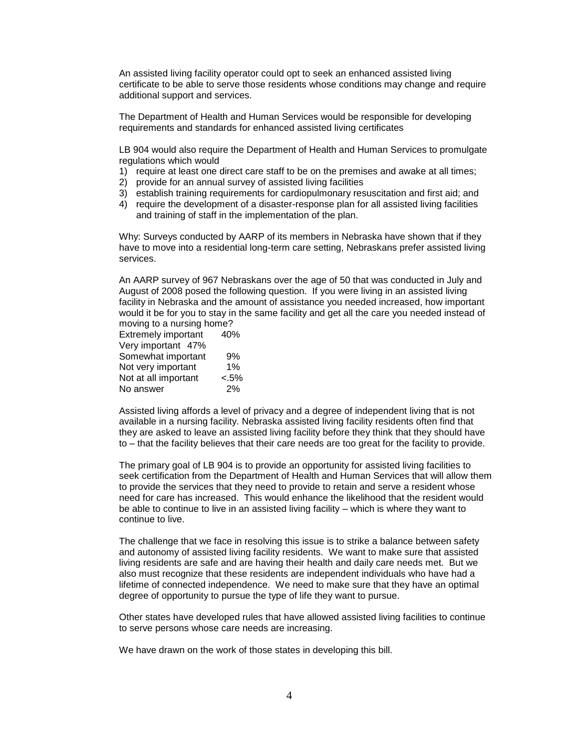An assisted living facility operator could opt to seek an enhanced assisted living certificate to be able to serve those residents whose conditions may change and require additional support and services.

The Department of Health and Human Services would be responsible for developing requirements and standards for enhanced assisted living certificates

LB 904 would also require the Department of Health and Human Services to promulgate regulations which would

- 1) require at least one direct care staff to be on the premises and awake at all times;
- 2) provide for an annual survey of assisted living facilities
- 3) establish training requirements for cardiopulmonary resuscitation and first aid; and
- 4) require the development of a disaster-response plan for all assisted living facilities and training of staff in the implementation of the plan.

Why: Surveys conducted by AARP of its members in Nebraska have shown that if they have to move into a residential long-term care setting, Nebraskans prefer assisted living services.

An AARP survey of 967 Nebraskans over the age of 50 that was conducted in July and August of 2008 posed the following question. If you were living in an assisted living facility in Nebraska and the amount of assistance you needed increased, how important would it be for you to stay in the same facility and get all the care you needed instead of moving to a nursing home?

| <b>Extremely important</b> | 40%     |
|----------------------------|---------|
| Very important 47%         |         |
| Somewhat important         | 9%      |
| Not very important         | 1%      |
| Not at all important       | $< 5\%$ |
| No answer                  | 2%      |
|                            |         |

Assisted living affords a level of privacy and a degree of independent living that is not available in a nursing facility. Nebraska assisted living facility residents often find that they are asked to leave an assisted living facility before they think that they should have to – that the facility believes that their care needs are too great for the facility to provide.

The primary goal of LB 904 is to provide an opportunity for assisted living facilities to seek certification from the Department of Health and Human Services that will allow them to provide the services that they need to provide to retain and serve a resident whose need for care has increased. This would enhance the likelihood that the resident would be able to continue to live in an assisted living facility – which is where they want to continue to live.

The challenge that we face in resolving this issue is to strike a balance between safety and autonomy of assisted living facility residents. We want to make sure that assisted living residents are safe and are having their health and daily care needs met. But we also must recognize that these residents are independent individuals who have had a lifetime of connected independence. We need to make sure that they have an optimal degree of opportunity to pursue the type of life they want to pursue.

Other states have developed rules that have allowed assisted living facilities to continue to serve persons whose care needs are increasing.

We have drawn on the work of those states in developing this bill.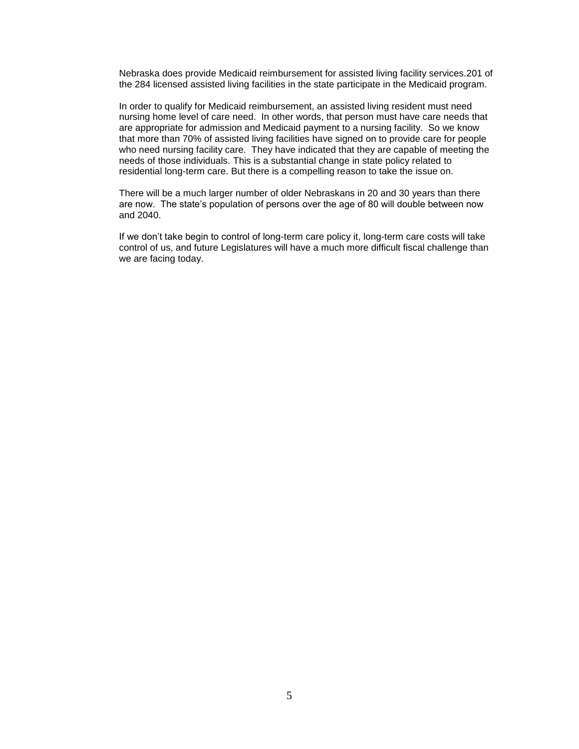Nebraska does provide Medicaid reimbursement for assisted living facility services.201 of the 284 licensed assisted living facilities in the state participate in the Medicaid program.

In order to qualify for Medicaid reimbursement, an assisted living resident must need nursing home level of care need. In other words, that person must have care needs that are appropriate for admission and Medicaid payment to a nursing facility. So we know that more than 70% of assisted living facilities have signed on to provide care for people who need nursing facility care. They have indicated that they are capable of meeting the needs of those individuals. This is a substantial change in state policy related to residential long-term care. But there is a compelling reason to take the issue on.

There will be a much larger number of older Nebraskans in 20 and 30 years than there are now. The state's population of persons over the age of 80 will double between now and 2040.

If we don't take begin to control of long-term care policy it, long-term care costs will take control of us, and future Legislatures will have a much more difficult fiscal challenge than we are facing today.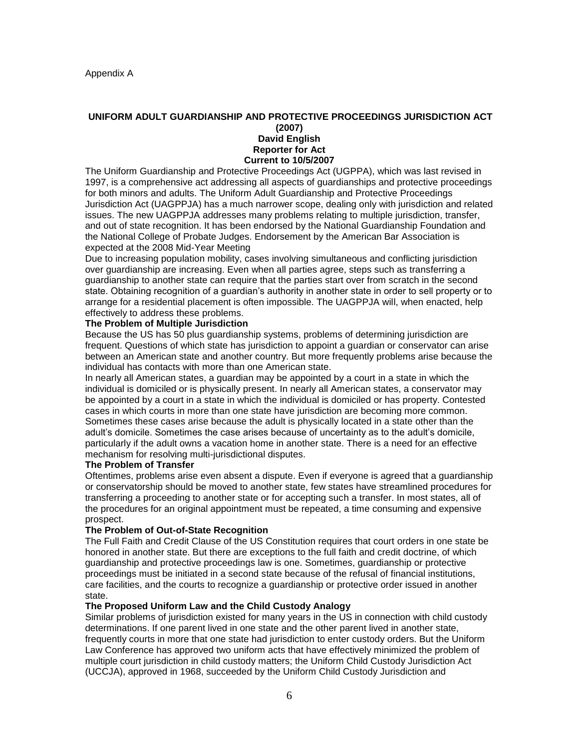### **UNIFORM ADULT GUARDIANSHIP AND PROTECTIVE PROCEEDINGS JURISDICTION ACT (2007) David English Reporter for Act Current to 10/5/2007**

The Uniform Guardianship and Protective Proceedings Act (UGPPA), which was last revised in 1997, is a comprehensive act addressing all aspects of guardianships and protective proceedings for both minors and adults. The Uniform Adult Guardianship and Protective Proceedings Jurisdiction Act (UAGPPJA) has a much narrower scope, dealing only with jurisdiction and related issues. The new UAGPPJA addresses many problems relating to multiple jurisdiction, transfer, and out of state recognition. It has been endorsed by the National Guardianship Foundation and the National College of Probate Judges. Endorsement by the American Bar Association is expected at the 2008 Mid-Year Meeting

Due to increasing population mobility, cases involving simultaneous and conflicting jurisdiction over guardianship are increasing. Even when all parties agree, steps such as transferring a guardianship to another state can require that the parties start over from scratch in the second state. Obtaining recognition of a guardian's authority in another state in order to sell property or to arrange for a residential placement is often impossible. The UAGPPJA will, when enacted, help effectively to address these problems.

## **The Problem of Multiple Jurisdiction**

Because the US has 50 plus guardianship systems, problems of determining jurisdiction are frequent. Questions of which state has jurisdiction to appoint a guardian or conservator can arise between an American state and another country. But more frequently problems arise because the individual has contacts with more than one American state.

In nearly all American states, a guardian may be appointed by a court in a state in which the individual is domiciled or is physically present. In nearly all American states, a conservator may be appointed by a court in a state in which the individual is domiciled or has property. Contested cases in which courts in more than one state have jurisdiction are becoming more common. Sometimes these cases arise because the adult is physically located in a state other than the adult's domicile. Sometimes the case arises because of uncertainty as to the adult's domicile, particularly if the adult owns a vacation home in another state. There is a need for an effective mechanism for resolving multi-jurisdictional disputes.

#### **The Problem of Transfer**

Oftentimes, problems arise even absent a dispute. Even if everyone is agreed that a guardianship or conservatorship should be moved to another state, few states have streamlined procedures for transferring a proceeding to another state or for accepting such a transfer. In most states, all of the procedures for an original appointment must be repeated, a time consuming and expensive prospect.

## **The Problem of Out-of-State Recognition**

The Full Faith and Credit Clause of the US Constitution requires that court orders in one state be honored in another state. But there are exceptions to the full faith and credit doctrine, of which guardianship and protective proceedings law is one. Sometimes, guardianship or protective proceedings must be initiated in a second state because of the refusal of financial institutions, care facilities, and the courts to recognize a guardianship or protective order issued in another state.

## **The Proposed Uniform Law and the Child Custody Analogy**

Similar problems of jurisdiction existed for many years in the US in connection with child custody determinations. If one parent lived in one state and the other parent lived in another state, frequently courts in more that one state had jurisdiction to enter custody orders. But the Uniform Law Conference has approved two uniform acts that have effectively minimized the problem of multiple court jurisdiction in child custody matters; the Uniform Child Custody Jurisdiction Act (UCCJA), approved in 1968, succeeded by the Uniform Child Custody Jurisdiction and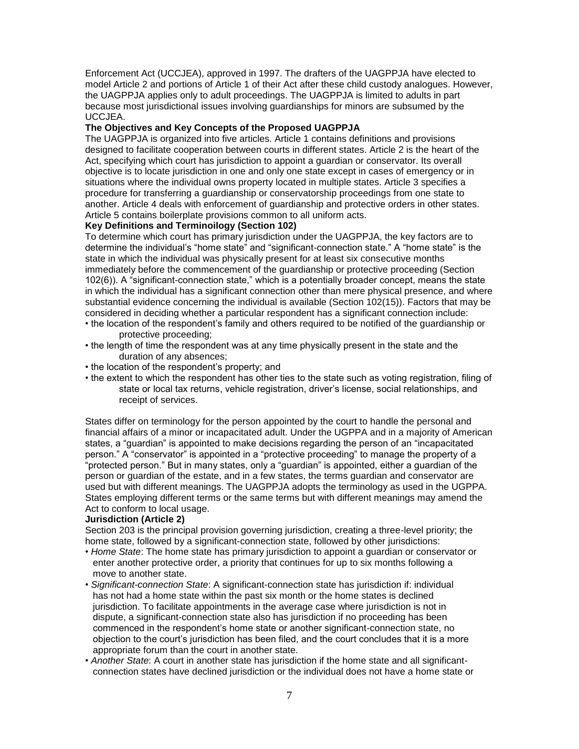Enforcement Act (UCCJEA), approved in 1997. The drafters of the UAGPPJA have elected to model Article 2 and portions of Article 1 of their Act after these child custody analogues. However, the UAGPPJA applies only to adult proceedings. The UAGPPJA is limited to adults in part because most jurisdictional issues involving guardianships for minors are subsumed by the UCCJEA.

## **The Objectives and Key Concepts of the Proposed UAGPPJA**

The UAGPPJA is organized into five articles. Article 1 contains definitions and provisions designed to facilitate cooperation between courts in different states. Article 2 is the heart of the Act, specifying which court has jurisdiction to appoint a guardian or conservator. Its overall objective is to locate jurisdiction in one and only one state except in cases of emergency or in situations where the individual owns property located in multiple states. Article 3 specifies a procedure for transferring a guardianship or conservatorship proceedings from one state to another. Article 4 deals with enforcement of guardianship and protective orders in other states. Article 5 contains boilerplate provisions common to all uniform acts.

## **Key Definitions and Terminoilogy (Section 102)**

To determine which court has primary jurisdiction under the UAGPPJA, the key factors are to determine the individual's "home state" and "significant-connection state." A "home state" is the state in which the individual was physically present for at least six consecutive months immediately before the commencement of the guardianship or protective proceeding (Section 102(6)). A "significant-connection state," which is a potentially broader concept, means the state in which the individual has a significant connection other than mere physical presence, and where substantial evidence concerning the individual is available (Section 102(15)). Factors that may be considered in deciding whether a particular respondent has a significant connection include:

- the location of the respondent's family and others required to be notified of the guardianship or protective proceeding;
- the length of time the respondent was at any time physically present in the state and the duration of any absences;
- the location of the respondent's property; and
- the extent to which the respondent has other ties to the state such as voting registration, filing of state or local tax returns, vehicle registration, driver's license, social relationships, and receipt of services.

States differ on terminology for the person appointed by the court to handle the personal and financial affairs of a minor or incapacitated adult. Under the UGPPA and in a majority of American states, a "guardian" is appointed to make decisions regarding the person of an "incapacitated person." A "conservator" is appointed in a "protective proceeding" to manage the property of a "protected person." But in many states, only a "guardian" is appointed, either a guardian of the person or guardian of the estate, and in a few states, the terms guardian and conservator are used but with different meanings. The UAGPPJA adopts the terminology as used in the UGPPA. States employing different terms or the same terms but with different meanings may amend the Act to conform to local usage.

## **Jurisdiction (Article 2)**

Section 203 is the principal provision governing jurisdiction, creating a three-level priority; the home state, followed by a significant-connection state, followed by other jurisdictions:

- *Home State*: The home state has primary jurisdiction to appoint a guardian or conservator or enter another protective order, a priority that continues for up to six months following a move to another state.
- *Significant-connection State*: A significant-connection state has jurisdiction if: individual has not had a home state within the past six month or the home states is declined jurisdiction. To facilitate appointments in the average case where jurisdiction is not in dispute, a significant-connection state also has jurisdiction if no proceeding has been commenced in the respondent's home state or another significant-connection state, no objection to the court's jurisdiction has been filed, and the court concludes that it is a more appropriate forum than the court in another state.
- *Another State*: A court in another state has jurisdiction if the home state and all significant connection states have declined jurisdiction or the individual does not have a home state or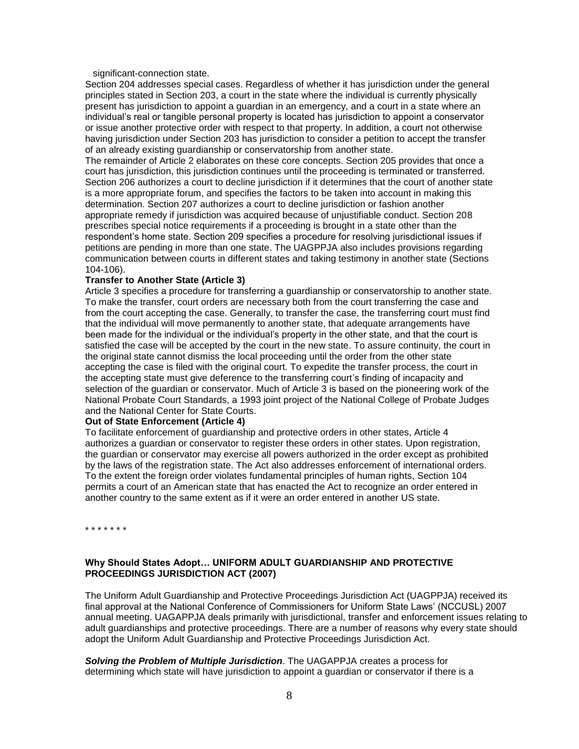significant-connection state.

Section 204 addresses special cases. Regardless of whether it has jurisdiction under the general principles stated in Section 203, a court in the state where the individual is currently physically present has jurisdiction to appoint a guardian in an emergency, and a court in a state where an individual's real or tangible personal property is located has jurisdiction to appoint a conservator or issue another protective order with respect to that property. In addition, a court not otherwise having jurisdiction under Section 203 has jurisdiction to consider a petition to accept the transfer of an already existing guardianship or conservatorship from another state.

The remainder of Article 2 elaborates on these core concepts. Section 205 provides that once a court has jurisdiction, this jurisdiction continues until the proceeding is terminated or transferred. Section 206 authorizes a court to decline jurisdiction if it determines that the court of another state is a more appropriate forum, and specifies the factors to be taken into account in making this determination. Section 207 authorizes a court to decline jurisdiction or fashion another appropriate remedy if jurisdiction was acquired because of unjustifiable conduct. Section 208 prescribes special notice requirements if a proceeding is brought in a state other than the respondent's home state. Section 209 specifies a procedure for resolving jurisdictional issues if petitions are pending in more than one state. The UAGPPJA also includes provisions regarding communication between courts in different states and taking testimony in another state (Sections 104-106).

### **Transfer to Another State (Article 3)**

Article 3 specifies a procedure for transferring a guardianship or conservatorship to another state. To make the transfer, court orders are necessary both from the court transferring the case and from the court accepting the case. Generally, to transfer the case, the transferring court must find that the individual will move permanently to another state, that adequate arrangements have been made for the individual or the individual's property in the other state, and that the court is satisfied the case will be accepted by the court in the new state. To assure continuity, the court in the original state cannot dismiss the local proceeding until the order from the other state accepting the case is filed with the original court. To expedite the transfer process, the court in the accepting state must give deference to the transferring court's finding of incapacity and selection of the guardian or conservator. Much of Article 3 is based on the pioneering work of the National Probate Court Standards, a 1993 joint project of the National College of Probate Judges and the National Center for State Courts.

### **Out of State Enforcement (Article 4)**

To facilitate enforcement of guardianship and protective orders in other states, Article 4 authorizes a guardian or conservator to register these orders in other states. Upon registration, the guardian or conservator may exercise all powers authorized in the order except as prohibited by the laws of the registration state. The Act also addresses enforcement of international orders. To the extent the foreign order violates fundamental principles of human rights, Section 104 permits a court of an American state that has enacted the Act to recognize an order entered in another country to the same extent as if it were an order entered in another US state.

\* \* \* \* \* \* \*

# **Why Should States Adopt… UNIFORM ADULT GUARDIANSHIP AND PROTECTIVE PROCEEDINGS JURISDICTION ACT (2007)**

The Uniform Adult Guardianship and Protective Proceedings Jurisdiction Act (UAGPPJA) received its final approval at the National Conference of Commissioners for Uniform State Laws' (NCCUSL) 2007 annual meeting. UAGAPPJA deals primarily with jurisdictional, transfer and enforcement issues relating to adult guardianships and protective proceedings. There are a number of reasons why every state should adopt the Uniform Adult Guardianship and Protective Proceedings Jurisdiction Act.

*Solving the Problem of Multiple Jurisdiction*. The UAGAPPJA creates a process for determining which state will have jurisdiction to appoint a guardian or conservator if there is a